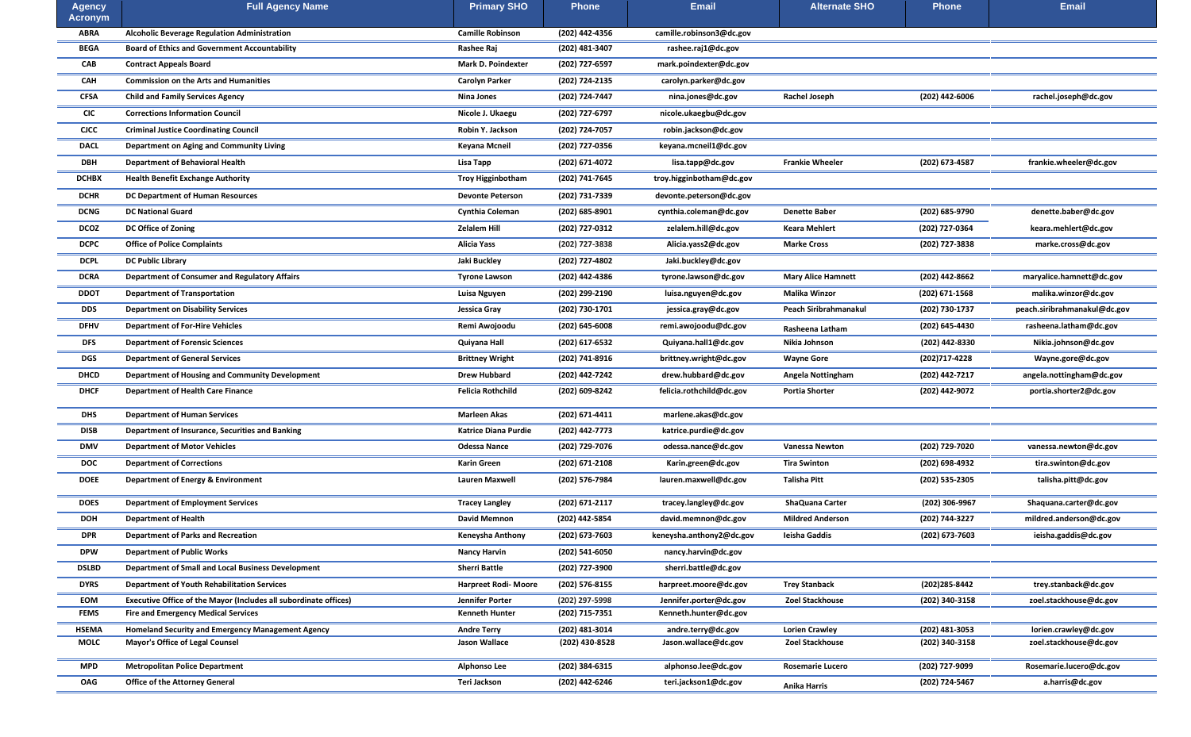| <b>Agency</b><br>Acronym | <b>Full Agency Name</b>                                                 | <b>Primary SHO</b>          | <b>Phone</b>     | <b>Email</b>             | <b>Alternate SHO</b>         | <b>Phone</b>     | <b>Email</b>                 |
|--------------------------|-------------------------------------------------------------------------|-----------------------------|------------------|--------------------------|------------------------------|------------------|------------------------------|
| <b>ABRA</b>              | <b>Alcoholic Beverage Regulation Administration</b>                     | <b>Camille Robinson</b>     | (202) 442-4356   | camille.robinson3@dc.gov |                              |                  |                              |
| <b>BEGA</b>              | <b>Board of Ethics and Government Accountability</b>                    | Rashee Raj                  | (202) 481-3407   | rashee.raj1@dc.gov       |                              |                  |                              |
| <b>CAB</b>               | <b>Contract Appeals Board</b>                                           | <b>Mark D. Poindexter</b>   | (202) 727-6597   | mark.poindexter@dc.gov   |                              |                  |                              |
| <b>CAH</b>               | <b>Commission on the Arts and Humanities</b>                            | <b>Carolyn Parker</b>       | (202) 724-2135   | carolyn.parker@dc.gov    |                              |                  |                              |
| <b>CFSA</b>              | <b>Child and Family Services Agency</b>                                 | <b>Nina Jones</b>           | (202) 724-7447   | nina.jones@dc.gov        | <b>Rachel Joseph</b>         | $(202)$ 442-6006 | rachel.joseph@dc.gov         |
| <b>CIC</b>               | <b>Corrections Information Council</b>                                  | Nicole J. Ukaegu            | (202) 727-6797   | nicole.ukaegbu@dc.gov    |                              |                  |                              |
| <b>CICC</b>              | <b>Criminal Justice Coordinating Council</b>                            | Robin Y. Jackson            | (202) 724-7057   | robin.jackson@dc.gov     |                              |                  |                              |
| <b>DACL</b>              | <b>Department on Aging and Community Living</b>                         | <b>Keyana Mcneil</b>        | (202) 727-0356   | keyana.mcneil1@dc.gov    |                              |                  |                              |
| <b>DBH</b>               | <b>Department of Behavioral Health</b>                                  | Lisa Tapp                   | (202) 671-4072   | lisa.tapp@dc.gov         | <b>Frankie Wheeler</b>       | (202) 673-4587   | frankie.wheeler@dc.gov       |
| <b>DCHBX</b>             | <b>Health Benefit Exchange Authority</b>                                | <b>Troy Higginbotham</b>    | (202) 741-7645   | troy.higginbotham@dc.gov |                              |                  |                              |
| <b>DCHR</b>              | <b>DC Department of Human Resources</b>                                 | <b>Devonte Peterson</b>     | (202) 731-7339   | devonte.peterson@dc.gov  |                              |                  |                              |
| <b>DCNG</b>              | <b>DC National Guard</b>                                                | <b>Cynthia Coleman</b>      | (202) 685-8901   | cynthia.coleman@dc.gov   | <b>Denette Baber</b>         | (202) 685-9790   | denette.baber@dc.gov         |
| <b>DCOZ</b>              | DC Office of Zoning                                                     | <b>Zelalem Hill</b>         | (202) 727-0312   | zelalem.hill@dc.gov      | <b>Keara Mehlert</b>         | (202) 727-0364   | keara.mehlert@dc.gov         |
| <b>DCPC</b>              | <b>Office of Police Complaints</b>                                      | <b>Alicia Yass</b>          | (202) 727-3838   | Alicia.yass2@dc.gov      | <b>Marke Cross</b>           | (202) 727-3838   | marke.cross@dc.gov           |
| <b>DCPL</b>              | <b>DC Public Library</b>                                                | Jaki Buckley                | (202) 727-4802   | Jaki.buckley@dc.gov      |                              |                  |                              |
| <b>DCRA</b>              | <b>Department of Consumer and Regulatory Affairs</b>                    | <b>Tyrone Lawson</b>        | (202) 442-4386   | tyrone.lawson@dc.gov     | <b>Mary Alice Hamnett</b>    | (202) 442-8662   | maryalice.hamnett@dc.gov     |
| <b>DDOT</b>              | <b>Department of Transportation</b>                                     | Luisa Nguyen                | (202) 299-2190   | luisa.nguyen@dc.gov      | <b>Malika Winzor</b>         | $(202)$ 671-1568 | malika.winzor@dc.gov         |
| <b>DDS</b>               | <b>Department on Disability Services</b>                                | <b>Jessica Gray</b>         | (202) 730-1701   | jessica.gray@dc.gov      | <b>Peach Siribrahmanakul</b> | (202) 730-1737   | peach.siribrahmanakul@dc.gov |
| <b>DFHV</b>              | <b>Department of For-Hire Vehicles</b>                                  | Remi Awojoodu               | $(202)$ 645-6008 | remi.awojoodu@dc.gov     | Rasheena Latham              | (202) 645-4430   | rasheena.latham@dc.gov       |
| <b>DFS</b>               | <b>Department of Forensic Sciences</b>                                  | Quiyana Hall                | (202) 617-6532   | Quiyana.hall1@dc.gov     | Nikia Johnson                | (202) 442-8330   | Nikia.johnson@dc.gov         |
| <b>DGS</b>               | <b>Department of General Services</b>                                   | <b>Brittney Wright</b>      | (202) 741-8916   | brittney.wright@dc.gov   | <b>Wayne Gore</b>            | (202)717-4228    | Wayne.gore@dc.gov            |
| <b>DHCD</b>              | <b>Department of Housing and Community Development</b>                  | <b>Drew Hubbard</b>         | (202) 442-7242   | drew.hubbard@dc.gov      | <b>Angela Nottingham</b>     | (202) 442-7217   | angela.nottingham@dc.gov     |
| <b>DHCF</b>              | <b>Department of Health Care Finance</b>                                | <b>Felicia Rothchild</b>    | (202) 609-8242   | felicia.rothchild@dc.gov | <b>Portia Shorter</b>        | (202) 442-9072   | portia.shorter2@dc.gov       |
| <b>DHS</b>               | <b>Department of Human Services</b>                                     | <b>Marleen Akas</b>         | (202) 671-4411   | marlene.akas@dc.gov      |                              |                  |                              |
| <b>DISB</b>              | Department of Insurance, Securities and Banking                         | <b>Katrice Diana Purdie</b> | (202) 442-7773   | katrice.purdie@dc.gov    |                              |                  |                              |
| <b>DMV</b>               | <b>Department of Motor Vehicles</b>                                     | <b>Odessa Nance</b>         | (202) 729-7076   | odessa.nance@dc.gov      | <b>Vanessa Newton</b>        | (202) 729-7020   | vanessa.newton@dc.gov        |
| <b>DOC</b>               | <b>Department of Corrections</b>                                        | <b>Karin Green</b>          | $(202)$ 671-2108 | Karin.green@dc.gov       | <b>Tira Swinton</b>          | (202) 698-4932   | tira.swinton@dc.gov          |
| <b>DOEE</b>              | <b>Department of Energy &amp; Environment</b>                           | <b>Lauren Maxwell</b>       | (202) 576-7984   | lauren.maxwell@dc.gov    | <b>Talisha Pitt</b>          | $(202)$ 535-2305 | talisha.pitt@dc.gov          |
| <b>DOES</b>              | <b>Department of Employment Services</b>                                | <b>Tracey Langley</b>       | (202) 671-2117   | tracey.langley@dc.gov    | <b>ShaQuana Carter</b>       | (202) 306-9967   | Shaquana.carter@dc.gov       |
| <b>DOH</b>               | <b>Department of Health</b>                                             | <b>David Memnon</b>         | (202) 442-5854   | david.memnon@dc.gov      | <b>Mildred Anderson</b>      | (202) 744-3227   | mildred.anderson@dc.gov      |
| <b>DPR</b>               | <b>Department of Parks and Recreation</b>                               | <b>Keneysha Anthony</b>     | $(202)$ 673-7603 | keneysha.anthony2@dc.gov | Ieisha Gaddis                | (202) 673-7603   | ieisha.gaddis@dc.gov         |
| <b>DPW</b>               | <b>Department of Public Works</b>                                       | <b>Nancy Harvin</b>         | (202) 541-6050   | nancy.harvin@dc.gov      |                              |                  |                              |
| <b>DSLBD</b>             | <b>Department of Small and Local Business Development</b>               | <b>Sherri Battle</b>        | (202) 727-3900   | sherri.battle@dc.gov     |                              |                  |                              |
| <b>DYRS</b>              | <b>Department of Youth Rehabilitation Services</b>                      | <b>Harpreet Rodi- Moore</b> | (202) 576-8155   | harpreet.moore@dc.gov    | <b>Trey Stanback</b>         | (202)285-8442    | trey.stanback@dc.gov         |
| <b>EOM</b>               | <b>Executive Office of the Mayor (Includes all subordinate offices)</b> | <b>Jennifer Porter</b>      | (202) 297-5998   | Jennifer.porter@dc.gov   | <b>Zoel Stackhouse</b>       | (202) 340-3158   | zoel.stackhouse@dc.gov       |
| <b>FEMS</b>              | <b>Fire and Emergency Medical Services</b>                              | <b>Kenneth Hunter</b>       | (202) 715-7351   | Kenneth.hunter@dc.gov    |                              |                  |                              |
| <b>HSEMA</b>             | <b>Homeland Security and Emergency Management Agency</b>                | <b>Andre Terry</b>          | (202) 481-3014   | andre.terry@dc.gov       | <b>Lorien Crawley</b>        | $(202)$ 481-3053 | lorien.crawley@dc.gov        |
| <b>MOLC</b>              | <b>Mayor's Office of Legal Counsel</b>                                  | <b>Jason Wallace</b>        | (202) 430-8528   | Jason.wallace@dc.gov     | Zoel Stackhouse              | (202) 340-3158   | zoel.stackhouse@dc.gov       |
| <b>MPD</b>               | <b>Metropolitan Police Department</b>                                   | <b>Alphonso Lee</b>         | (202) 384-6315   | alphonso.lee@dc.gov      | <b>Rosemarie Lucero</b>      | (202) 727-9099   | Rosemarie.lucero@dc.gov      |
| <b>OAG</b>               | <b>Office of the Attorney General</b>                                   | Teri Jackson                | (202) 442-6246   | teri.jackson1@dc.gov     | <b>Anika Harris</b>          | (202) 724-5467   | a.harris@dc.gov              |